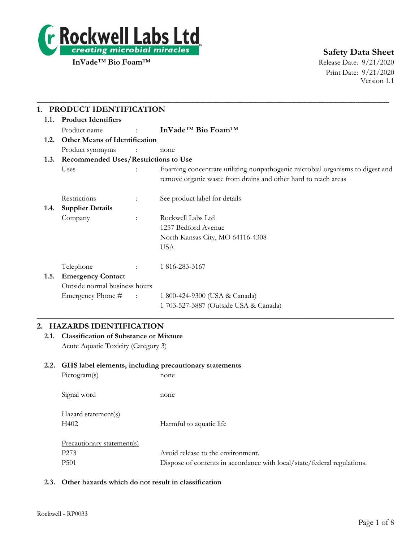

Print Date: 9/21/2020 Version 1.1

|      | PRODUCT IDENTIFICATION                      |                                   |                                                                                                                                                 |  |
|------|---------------------------------------------|-----------------------------------|-------------------------------------------------------------------------------------------------------------------------------------------------|--|
| 1.1. | <b>Product Identifiers</b>                  |                                   |                                                                                                                                                 |  |
|      | Product name                                | <b>Contract Contract Contract</b> | InVade <sup>™</sup> Bio Foam™                                                                                                                   |  |
| 1.2. | <b>Other Means of Identification</b>        |                                   |                                                                                                                                                 |  |
|      | Product synonyms                            | $\sim 100$ M $_{\odot}$           | none                                                                                                                                            |  |
| 1.3. | <b>Recommended Uses/Restrictions to Use</b> |                                   |                                                                                                                                                 |  |
|      | Uses                                        | $\ddot{\phantom{0}}$              | Foaming concentrate utilizing nonpathogenic microbial organisms to digest and<br>remove organic waste from drains and other hard to reach areas |  |
|      | Restrictions                                | ÷                                 | See product label for details                                                                                                                   |  |
| 1.4. | <b>Supplier Details</b>                     |                                   |                                                                                                                                                 |  |
|      | Company                                     | $\ddot{\cdot}$                    | Rockwell Labs Ltd                                                                                                                               |  |
|      |                                             |                                   | 1257 Bedford Avenue                                                                                                                             |  |
|      |                                             |                                   | North Kansas City, MO 64116-4308                                                                                                                |  |
|      |                                             |                                   | <b>USA</b>                                                                                                                                      |  |
|      | Telephone                                   |                                   | 1 816-283-3167                                                                                                                                  |  |
| 1.5. | <b>Emergency Contact</b>                    |                                   |                                                                                                                                                 |  |
|      | Outside normal business hours               |                                   |                                                                                                                                                 |  |
|      | Emergency Phone #                           | $\sim 1000$ km s $^{-1}$          | 1 800-424-9300 (USA & Canada)                                                                                                                   |  |
|      |                                             |                                   | 1 703-527-3887 (Outside USA & Canada)                                                                                                           |  |

## **2. HAZARDS IDENTIFICATION**

**2.1. Classification of Substance or Mixture** Acute Aquatic Toxicity (Category 3)

## **2.2. GHS label elements, including precautionary statements**

| Pictogram(s)                | none                                                                    |
|-----------------------------|-------------------------------------------------------------------------|
| Signal word                 | none                                                                    |
| Hazard statement(s)<br>H402 | Harmful to aquatic life                                                 |
| Precautionary statement(s)  |                                                                         |
| P <sub>273</sub>            | Avoid release to the environment.                                       |
| P <sub>501</sub>            | Dispose of contents in accordance with local/state/federal regulations. |

## **2.3. Other hazards which do not result in classification**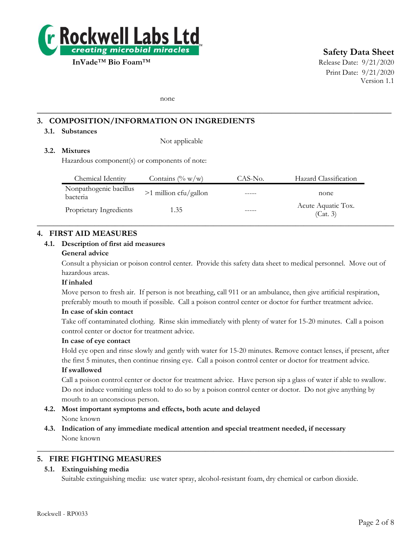

# **Safety Data Sheet**

Print Date: 9/21/2020 Version 1.1

none

## **3. COMPOSITION/INFORMATION ON INGREDIENTS**

## **3.1. Substances**

Not applicable

## **3.2. Mixtures**

Hazardous component(s) or components of note:

| Chemical Identity                  | Contains $(\% w/w)$     | CAS-No. | Hazard Classification          |
|------------------------------------|-------------------------|---------|--------------------------------|
| Nonpathogenic bacillus<br>bacteria | $>1$ million cfu/gallon |         | none                           |
| Proprietary Ingredients            | 1.35                    |         | Acute Aquatic Tox.<br>(Cat. 3) |

 $\_$  , and the set of the set of the set of the set of the set of the set of the set of the set of the set of the set of the set of the set of the set of the set of the set of the set of the set of the set of the set of th

**\_\_\_\_\_\_\_\_\_\_\_\_\_\_\_\_\_\_\_\_\_\_\_\_\_\_\_\_\_\_\_\_\_\_\_\_\_\_\_\_\_\_\_\_\_\_\_\_\_\_\_\_\_\_\_\_\_\_\_\_\_\_\_\_\_\_\_\_\_\_\_\_\_\_**

## **4. FIRST AID MEASURES**

#### **4.1. Description of first aid measures**

#### **General advice**

Consult a physician or poison control center. Provide this safety data sheet to medical personnel. Move out of hazardous areas.

#### **If inhaled**

Move person to fresh air. If person is not breathing, call 911 or an ambulance, then give artificial respiration, preferably mouth to mouth if possible. Call a poison control center or doctor for further treatment advice.

#### **In case of skin contact**

Take off contaminated clothing. Rinse skin immediately with plenty of water for 15-20 minutes. Call a poison control center or doctor for treatment advice.

#### **In case of eye contact**

Hold eye open and rinse slowly and gently with water for 15-20 minutes. Remove contact lenses, if present, after the first 5 minutes, then continue rinsing eye. Call a poison control center or doctor for treatment advice.

#### **If swallowed**

Call a poison control center or doctor for treatment advice. Have person sip a glass of water if able to swallow. Do not induce vomiting unless told to do so by a poison control center or doctor. Do not give anything by mouth to an unconscious person.

- **4.2. Most important symptoms and effects, both acute and delayed** None known
- **4.3. Indication of any immediate medical attention and special treatment needed, if necessary** None known

## **5. FIRE FIGHTING MEASURES**

#### **5.1. Extinguishing media**

Suitable extinguishing media: use water spray, alcohol-resistant foam, dry chemical or carbon dioxide.

 $\_$  , and the set of the set of the set of the set of the set of the set of the set of the set of the set of the set of the set of the set of the set of the set of the set of the set of the set of the set of the set of th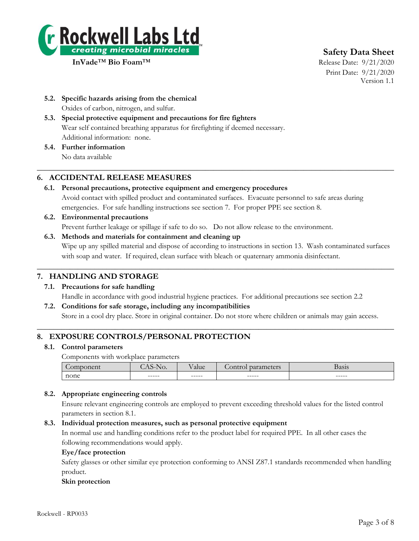

**Safety Data Sheet**

Print Date: 9/21/2020 Version 1.1

- **5.2. Specific hazards arising from the chemical** Oxides of carbon, nitrogen, and sulfur.
- **5.3. Special protective equipment and precautions for fire fighters** Wear self contained breathing apparatus for firefighting if deemed necessary. Additional information: none.
- **5.4. Further information** No data available

## **6. ACCIDENTAL RELEASE MEASURES**

**6.1. Personal precautions, protective equipment and emergency procedures** Avoid contact with spilled product and contaminated surfaces. Evacuate personnel to safe areas during emergencies. For safe handling instructions see section 7. For proper PPE see section 8.

 $\_$  , and the set of the set of the set of the set of the set of the set of the set of the set of the set of the set of the set of the set of the set of the set of the set of the set of the set of the set of the set of th

- **6.2. Environmental precautions** Prevent further leakage or spillage if safe to do so. Do not allow release to the environment.
- **6.3. Methods and materials for containment and cleaning up** Wipe up any spilled material and dispose of according to instructions in section 13. Wash contaminated surfaces with soap and water. If required, clean surface with bleach or quaternary ammonia disinfectant.

 $\_$  , and the set of the set of the set of the set of the set of the set of the set of the set of the set of the set of the set of the set of the set of the set of the set of the set of the set of the set of the set of th

## **7. HANDLING AND STORAGE**

- **7.1. Precautions for safe handling** Handle in accordance with good industrial hygiene practices. For additional precautions see section 2.2 **7.2. Conditions for safe storage, including any incompatibilities**
	- Store in a cool dry place. Store in original container. Do not store where children or animals may gain access.

 $\_$  , and the set of the set of the set of the set of the set of the set of the set of the set of the set of the set of the set of the set of the set of the set of the set of the set of the set of the set of the set of th

## **8. EXPOSURE CONTROLS/PERSONAL PROTECTION**

## **8.1. Control parameters**

Components with workplace parameters

|      |        | 11C     | $F \cap A$    | 0.010  |
|------|--------|---------|---------------|--------|
|      | w.     | aiuc    | $\sim$ $\sim$ | разіз  |
| none | ------ | $-----$ | ------        | ------ |

## **8.2. Appropriate engineering controls**

Ensure relevant engineering controls are employed to prevent exceeding threshold values for the listed control parameters in section 8.1.

## **8.3. Individual protection measures, such as personal protective equipment**

In normal use and handling conditions refer to the product label for required PPE. In all other cases the following recommendations would apply.

## **Eye/face protection**

Safety glasses or other similar eye protection conforming to ANSI Z87.1 standards recommended when handling product.

## **Skin protection**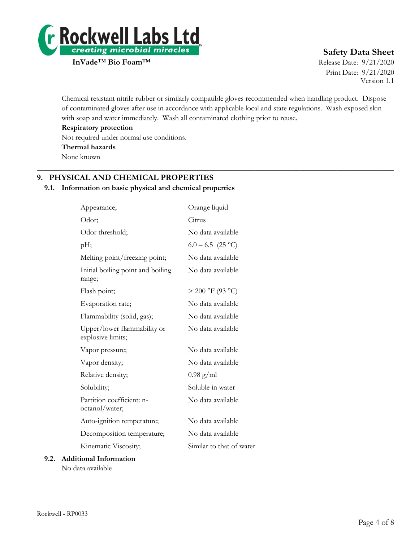

# **Safety Data Sheet**

Print Date: 9/21/2020 Version 1.1

Chemical resistant nitrile rubber or similarly compatible gloves recommended when handling product. Dispose of contaminated gloves after use in accordance with applicable local and state regulations. Wash exposed skin with soap and water immediately. Wash all contaminated clothing prior to reuse.

 $\_$  , and the set of the set of the set of the set of the set of the set of the set of the set of the set of the set of the set of the set of the set of the set of the set of the set of the set of the set of the set of th

**Respiratory protection**

Not required under normal use conditions.

**Thermal hazards**

None known

## **9. PHYSICAL AND CHEMICAL PROPERTIES**

## **9.1. Information on basic physical and chemical properties**

| Appearance;                                      | Orange liquid            |
|--------------------------------------------------|--------------------------|
| Odor;                                            | Citrus                   |
| Odor threshold;                                  | No data available        |
| pН;                                              | $6.0 - 6.5$ (25 °C)      |
| Melting point/freezing point;                    | No data available        |
| Initial boiling point and boiling<br>range;      | No data available        |
| Flash point;                                     | $> 200$ °F (93 °C)       |
| Evaporation rate;                                | No data available        |
| Flammability (solid, gas);                       | No data available        |
| Upper/lower flammability or<br>explosive limits; | No data available        |
| Vapor pressure;                                  | No data available        |
| Vapor density;                                   | No data available        |
| Relative density;                                | $0.98 \text{ g/ml}$      |
| Solubility;                                      | Soluble in water         |
| Partition coefficient: n-<br>octanol/water;      | No data available        |
| Auto-ignition temperature;                       | No data available        |
| Decomposition temperature;                       | No data available        |
| Kinematic Viscosity;                             | Similar to that of water |
| ional Information                                |                          |

## **9.2. Additional Information** No data available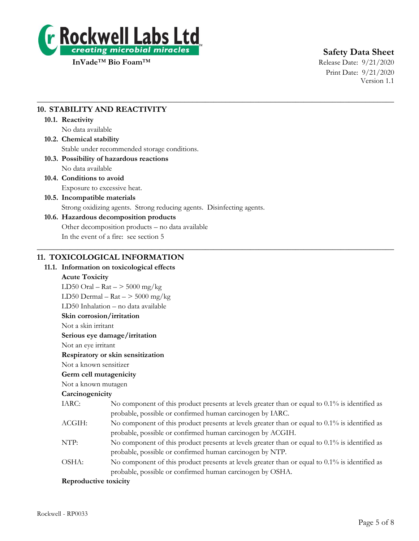

# **Safety Data Sheet**

Print Date: 9/21/2020 Version 1.1

## **10. STABILITY AND REACTIVITY**

## **10.1. Reactivity**

No data available

## **10.2. Chemical stability** Stable under recommended storage conditions.

## **10.3. Possibility of hazardous reactions** No data available

**10.4. Conditions to avoid**

Exposure to excessive heat.

## **10.5. Incompatible materials**

Strong oxidizing agents. Strong reducing agents. Disinfecting agents.

 $\_$  , and the set of the set of the set of the set of the set of the set of the set of the set of the set of the set of the set of the set of the set of the set of the set of the set of the set of the set of the set of th

 $\_$  , and the set of the set of the set of the set of the set of the set of the set of the set of the set of the set of the set of the set of the set of the set of the set of the set of the set of the set of the set of th

## **10.6. Hazardous decomposition products**

Other decomposition products – no data available

In the event of a fire: see section 5

## **11. TOXICOLOGICAL INFORMATION**

## **11.1. Information on toxicological effects**

## **Acute Toxicity**

LD50 Oral –  $\text{Rat}$  –  $>$  5000 mg/kg LD50 Dermal –  $\text{Rat}$  –  $>$  5000 mg/kg LD50 Inhalation – no data available **Skin corrosion/irritation** Not a skin irritant **Serious eye damage/irritation** Not an eye irritant **Respiratory or skin sensitization** Not a known sensitizer **Germ cell mutagenicity** Not a known mutagen **Carcinogenicity** IARC: No component of this product presents at levels greater than or equal to 0.1% is identified as probable, possible or confirmed human carcinogen by IARC. ACGIH: No component of this product presents at levels greater than or equal to 0.1% is identified as probable, possible or confirmed human carcinogen by ACGIH. NTP: No component of this product presents at levels greater than or equal to 0.1% is identified as probable, possible or confirmed human carcinogen by NTP. OSHA: No component of this product presents at levels greater than or equal to 0.1% is identified as probable, possible or confirmed human carcinogen by OSHA. **Reproductive toxicity**

#### Rockwell - RP0033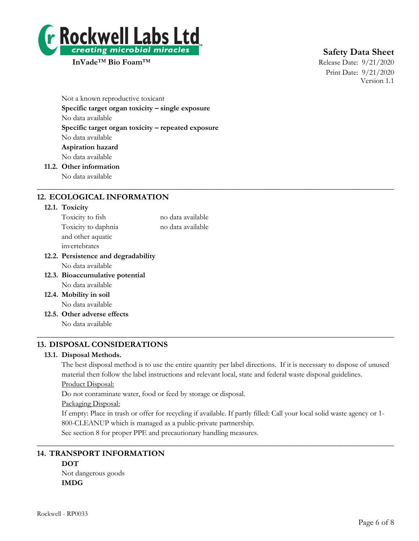

# **Safety Data Sheet**

Print Date: 9/21/2020 Version 1.1

Not a known reproductive toxicant **Specific target organ toxicity – single exposure** No data available **Specific target organ toxicity – repeated exposure** No data available **Aspiration hazard** No data available **11.2. Other information**

No data available

## **12. ECOLOGICAL INFORMATION**

#### **12.1. Toxicity**

| Toxicity to fish                    | no data available |
|-------------------------------------|-------------------|
| Toxicity to daphnia                 | no data available |
| and other aquatic                   |                   |
| invertebrates                       |                   |
| 12.2. Persistence and degradability |                   |
| No data available                   |                   |
| 12.3. Bioaccumulative potential     |                   |
| No data available                   |                   |
| 12.4. Mobility in soil              |                   |
| No data available                   |                   |
| 12.5. Other adverse effects         |                   |
| No data available                   |                   |
|                                     |                   |

## **13. DISPOSAL CONSIDERATIONS**

#### **13.1. Disposal Methods.**

The best disposal method is to use the entire quantity per label directions. If it is necessary to dispose of unused material then follow the label instructions and relevant local, state and federal waste disposal guidelines.

 $\_$  , and the set of the set of the set of the set of the set of the set of the set of the set of the set of the set of the set of the set of the set of the set of the set of the set of the set of the set of the set of th

Product Disposal:

Do not contaminate water, food or feed by storage or disposal.

#### Packaging Disposal:

If empty: Place in trash or offer for recycling if available. If partly filled: Call your local solid waste agency or 1- 800-CLEANUP which is managed as a public-private partnership.

 $\_$  , and the set of the set of the set of the set of the set of the set of the set of the set of the set of the set of the set of the set of the set of the set of the set of the set of the set of the set of the set of th

See section 8 for proper PPE and precautionary handling measures.

## **14. TRANSPORT INFORMATION**

# **DOT**

Not dangerous goods **IMDG**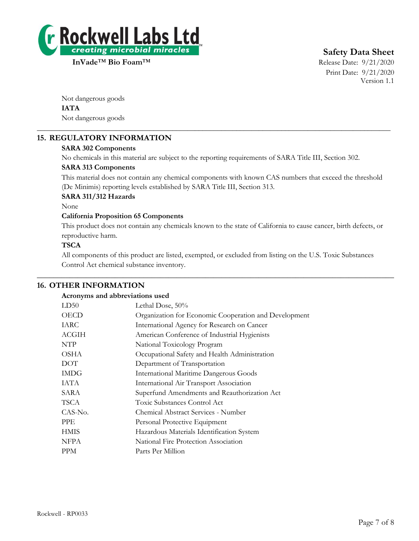

**Safety Data Sheet**

Print Date: 9/21/2020 Version 1.1

Not dangerous goods **IATA** Not dangerous goods

## **15. REGULATORY INFORMATION**

## **SARA 302 Components**

No chemicals in this material are subject to the reporting requirements of SARA Title III, Section 302.

\_\_\_\_\_\_\_\_\_\_\_\_\_\_\_\_\_\_\_\_\_\_\_\_\_\_\_\_\_\_\_\_\_\_\_\_\_\_\_\_\_\_\_\_\_\_\_\_\_\_\_\_\_\_\_\_\_\_\_\_\_\_\_\_\_\_\_\_\_\_\_\_\_\_\_\_\_\_\_\_\_\_\_\_\_\_\_\_\_\_\_\_\_\_

## **SARA 313 Components**

This material does not contain any chemical components with known CAS numbers that exceed the threshold (De Minimis) reporting levels established by SARA Title III, Section 313.

## **SARA 311/312 Hazards**

None

## **California Proposition 65 Components**

This product does not contain any chemicals known to the state of California to cause cancer, birth defects, or reproductive harm.

## **TSCA**

All components of this product are listed, exempted, or excluded from listing on the U.S. Toxic Substances Control Act chemical substance inventory.

 $\_$  , and the set of the set of the set of the set of the set of the set of the set of the set of the set of the set of the set of the set of the set of the set of the set of the set of the set of the set of the set of th

## **16. OTHER INFORMATION**

#### **Acronyms and abbreviations used**

| LD50         | Lethal Dose, 50%                                      |
|--------------|-------------------------------------------------------|
| <b>OECD</b>  | Organization for Economic Cooperation and Development |
| IARC         | International Agency for Research on Cancer           |
| <b>ACGIH</b> | American Conference of Industrial Hygienists          |
| NTP          | National Toxicology Program                           |
| <b>OSHA</b>  | Occupational Safety and Health Administration         |
| <b>DOT</b>   | Department of Transportation                          |
| <b>IMDG</b>  | <b>International Maritime Dangerous Goods</b>         |
| IATA         | International Air Transport Association               |
| SARA         | Superfund Amendments and Reauthorization Act          |
| TSCA         | Toxic Substances Control Act                          |
| CAS-No.      | Chemical Abstract Services - Number                   |
| <b>PPE</b>   | Personal Protective Equipment                         |
| <b>HMIS</b>  | Hazardous Materials Identification System             |
| <b>NFPA</b>  | National Fire Protection Association                  |
| <b>PPM</b>   | Parts Per Million                                     |
|              |                                                       |